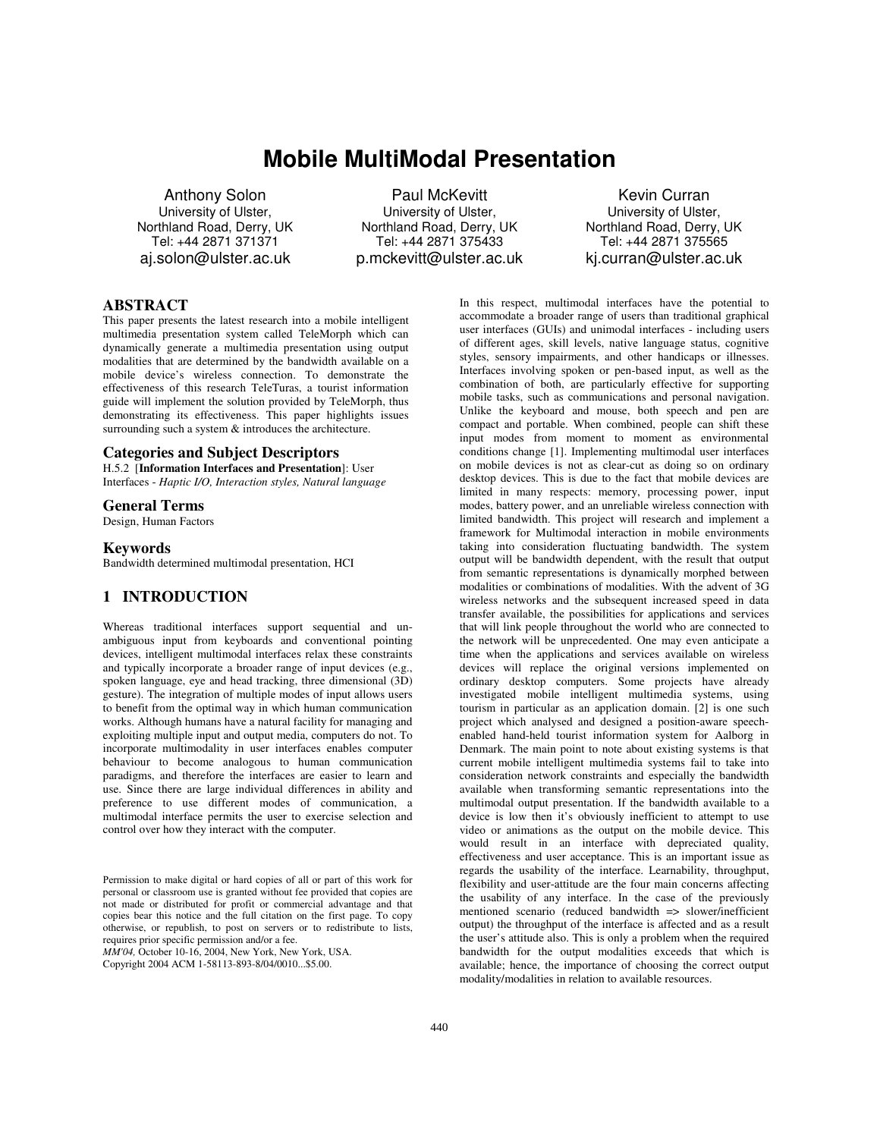# **Mobile MultiModal Presentation**

Anthony Solon University of Ulster, Northland Road, Derry, UK Tel: +44 2871 371371 aj.solon@ulster.ac.uk

Paul McKevitt University of Ulster, Northland Road, Derry, UK Tel: +44 2871 375433 p.mckevitt@ulster.ac.uk

Kevin Curran University of Ulster, Northland Road, Derry, UK Tel: +44 2871 375565 kj.curran@ulster.ac.uk

## **ABSTRACT**

This paper presents the latest research into a mobile intelligent multimedia presentation system called TeleMorph which can dynamically generate a multimedia presentation using output modalities that are determined by the bandwidth available on a mobile device's wireless connection. To demonstrate the effectiveness of this research TeleTuras, a tourist information guide will implement the solution provided by TeleMorph, thus demonstrating its effectiveness. This paper highlights issues surrounding such a system  $&$  introduces the architecture.

### **Categories and Subject Descriptors**

H.5.2 [**Information Interfaces and Presentation**]: User Interfaces - *Haptic I/O, Interaction styles, Natural language* 

#### **General Terms**

Design, Human Factors

#### **Keywords**

Bandwidth determined multimodal presentation, HCI

# **1 INTRODUCTION**

Whereas traditional interfaces support sequential and unambiguous input from keyboards and conventional pointing devices, intelligent multimodal interfaces relax these constraints and typically incorporate a broader range of input devices (e.g., spoken language, eye and head tracking, three dimensional (3D) gesture). The integration of multiple modes of input allows users to benefit from the optimal way in which human communication works. Although humans have a natural facility for managing and exploiting multiple input and output media, computers do not. To incorporate multimodality in user interfaces enables computer behaviour to become analogous to human communication paradigms, and therefore the interfaces are easier to learn and use. Since there are large individual differences in ability and preference to use different modes of communication, a multimodal interface permits the user to exercise selection and control over how they interact with the computer.

Permission to make digital or hard copies of all or part of this work for personal or classroom use is granted without fee provided that copies are not made or distributed for profit or commercial advantage and that copies bear this notice and the full citation on the first page. To copy otherwise, or republish, to post on servers or to redistribute to lists, requires prior specific permission and/or a fee.

*MM'04,* October 10-16, 2004, New York, New York, USA. Copyright 2004 ACM 1-58113-893-8/04/0010...\$5.00.

In this respect, multimodal interfaces have the potential to accommodate a broader range of users than traditional graphical user interfaces (GUIs) and unimodal interfaces - including users of different ages, skill levels, native language status, cognitive styles, sensory impairments, and other handicaps or illnesses. Interfaces involving spoken or pen-based input, as well as the combination of both, are particularly effective for supporting mobile tasks, such as communications and personal navigation. Unlike the keyboard and mouse, both speech and pen are compact and portable. When combined, people can shift these input modes from moment to moment as environmental conditions change [1]. Implementing multimodal user interfaces on mobile devices is not as clear-cut as doing so on ordinary desktop devices. This is due to the fact that mobile devices are limited in many respects: memory, processing power, input modes, battery power, and an unreliable wireless connection with limited bandwidth. This project will research and implement a framework for Multimodal interaction in mobile environments taking into consideration fluctuating bandwidth. The system output will be bandwidth dependent, with the result that output from semantic representations is dynamically morphed between modalities or combinations of modalities. With the advent of 3G wireless networks and the subsequent increased speed in data transfer available, the possibilities for applications and services that will link people throughout the world who are connected to the network will be unprecedented. One may even anticipate a time when the applications and services available on wireless devices will replace the original versions implemented on ordinary desktop computers. Some projects have already investigated mobile intelligent multimedia systems, using tourism in particular as an application domain. [2] is one such project which analysed and designed a position-aware speechenabled hand-held tourist information system for Aalborg in Denmark. The main point to note about existing systems is that current mobile intelligent multimedia systems fail to take into consideration network constraints and especially the bandwidth available when transforming semantic representations into the multimodal output presentation. If the bandwidth available to a device is low then it's obviously inefficient to attempt to use video or animations as the output on the mobile device. This would result in an interface with depreciated quality, effectiveness and user acceptance. This is an important issue as regards the usability of the interface. Learnability, throughput, flexibility and user-attitude are the four main concerns affecting the usability of any interface. In the case of the previously mentioned scenario (reduced bandwidth => slower/inefficient output) the throughput of the interface is affected and as a result the user's attitude also. This is only a problem when the required bandwidth for the output modalities exceeds that which is available; hence, the importance of choosing the correct output modality/modalities in relation to available resources.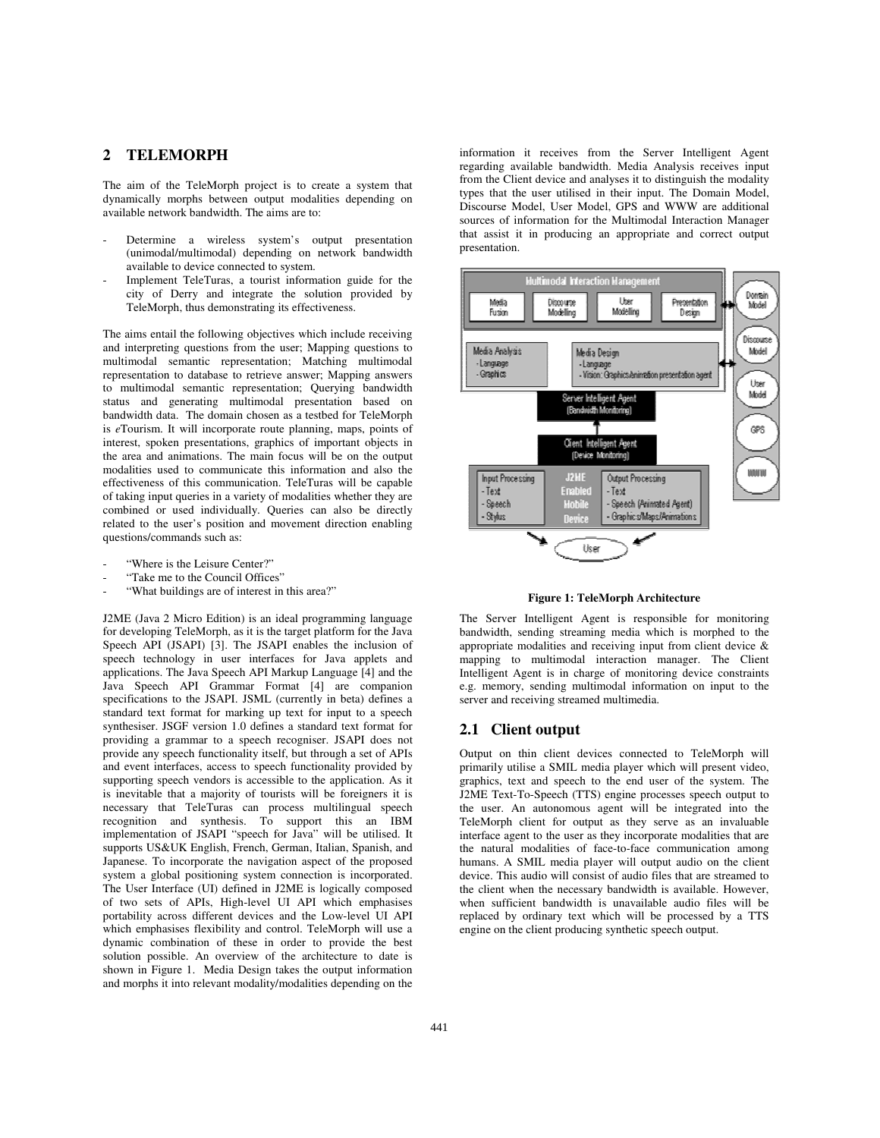### **2 TELEMORPH**

The aim of the TeleMorph project is to create a system that dynamically morphs between output modalities depending on available network bandwidth. The aims are to:

- Determine a wireless system's output presentation (unimodal/multimodal) depending on network bandwidth available to device connected to system.
- Implement TeleTuras, a tourist information guide for the city of Derry and integrate the solution provided by TeleMorph, thus demonstrating its effectiveness.

The aims entail the following objectives which include receiving and interpreting questions from the user; Mapping questions to multimodal semantic representation; Matching multimodal representation to database to retrieve answer; Mapping answers to multimodal semantic representation; Querying bandwidth status and generating multimodal presentation based on bandwidth data. The domain chosen as a testbed for TeleMorph is *e*Tourism. It will incorporate route planning, maps, points of interest, spoken presentations, graphics of important objects in the area and animations. The main focus will be on the output modalities used to communicate this information and also the effectiveness of this communication. TeleTuras will be capable of taking input queries in a variety of modalities whether they are combined or used individually. Queries can also be directly related to the user's position and movement direction enabling questions/commands such as:

- "Where is the Leisure Center?"
- "Take me to the Council Offices"
- "What buildings are of interest in this area?"

J2ME (Java 2 Micro Edition) is an ideal programming language for developing TeleMorph, as it is the target platform for the Java Speech API (JSAPI) [3]. The JSAPI enables the inclusion of speech technology in user interfaces for Java applets and applications. The Java Speech API Markup Language [4] and the Java Speech API Grammar Format [4] are companion specifications to the JSAPI. JSML (currently in beta) defines a standard text format for marking up text for input to a speech synthesiser. JSGF version 1.0 defines a standard text format for providing a grammar to a speech recogniser. JSAPI does not provide any speech functionality itself, but through a set of APIs and event interfaces, access to speech functionality provided by supporting speech vendors is accessible to the application. As it is inevitable that a majority of tourists will be foreigners it is necessary that TeleTuras can process multilingual speech recognition and synthesis. To support this an IBM implementation of JSAPI "speech for Java" will be utilised. It supports US&UK English, French, German, Italian, Spanish, and Japanese. To incorporate the navigation aspect of the proposed system a global positioning system connection is incorporated. The User Interface (UI) defined in J2ME is logically composed of two sets of APIs, High-level UI API which emphasises portability across different devices and the Low-level UI API which emphasises flexibility and control. TeleMorph will use a dynamic combination of these in order to provide the best solution possible. An overview of the architecture to date is shown in Figure 1. Media Design takes the output information and morphs it into relevant modality/modalities depending on the

information it receives from the Server Intelligent Agent regarding available bandwidth. Media Analysis receives input from the Client device and analyses it to distinguish the modality types that the user utilised in their input. The Domain Model, Discourse Model, User Model, GPS and WWW are additional sources of information for the Multimodal Interaction Manager that assist it in producing an appropriate and correct output presentation.



**Figure 1: TeleMorph Architecture** 

The Server Intelligent Agent is responsible for monitoring bandwidth, sending streaming media which is morphed to the appropriate modalities and receiving input from client device & mapping to multimodal interaction manager. The Client Intelligent Agent is in charge of monitoring device constraints e.g. memory, sending multimodal information on input to the server and receiving streamed multimedia.

#### **2.1 Client output**

Output on thin client devices connected to TeleMorph will primarily utilise a SMIL media player which will present video, graphics, text and speech to the end user of the system. The J2ME Text-To-Speech (TTS) engine processes speech output to the user. An autonomous agent will be integrated into the TeleMorph client for output as they serve as an invaluable interface agent to the user as they incorporate modalities that are the natural modalities of face-to-face communication among humans. A SMIL media player will output audio on the client device. This audio will consist of audio files that are streamed to the client when the necessary bandwidth is available. However, when sufficient bandwidth is unavailable audio files will be replaced by ordinary text which will be processed by a TTS engine on the client producing synthetic speech output.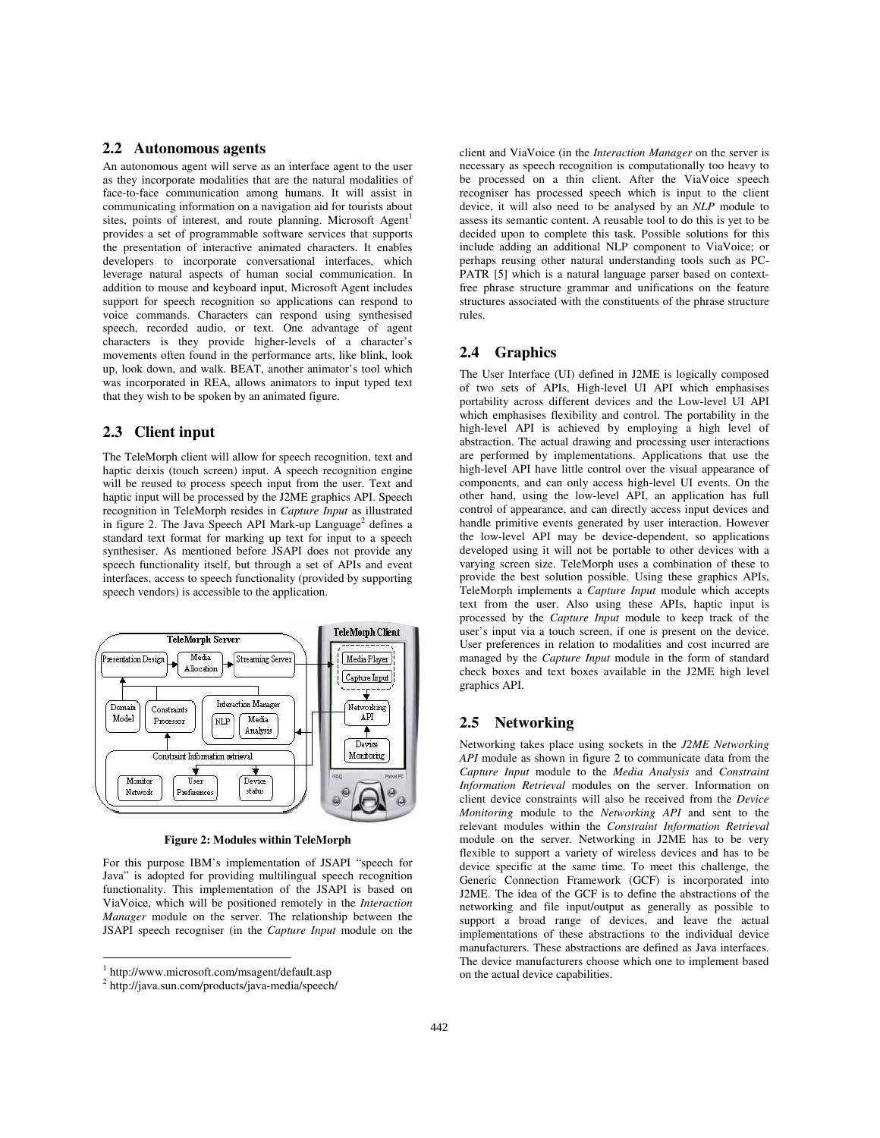#### **2.2 Autonomous agents**

An autonomous agent will serve as an interface agent to the user as they incorporate modalities that are the natural modalities of face-to-face communication among humans. It will assist in communicating information on a navigation aid for tourists about sites, points of interest, and route planning. Microsoft Agent<sup>1</sup> provides a set of programmable software services that supports the presentation of interactive animated characters. It enables developers to incorporate conversational interfaces, which leverage natural aspects of human social communication. In addition to mouse and keyboard input, Microsoft Agent includes support for speech recognition so applications can respond to voice commands. Characters can respond using synthesised speech, recorded audio, or text. One advantage of agent characters is they provide higher-levels of a character's movements often found in the performance arts, like blink, look up, look down, and walk. BEAT, another animator's tool which was incorporated in REA, allows animators to input typed text that they wish to be spoken by an animated figure.

## **2.3 Client input**

The TeleMorph client will allow for speech recognition, text and haptic deixis (touch screen) input. A speech recognition engine will be reused to process speech input from the user. Text and haptic input will be processed by the J2ME graphics API. Speech recognition in TeleMorph resides in *Capture Input* as illustrated in figure 2. The Java Speech API Mark-up Language<sup>2</sup> defines a standard text format for marking up text for input to a speech synthesiser. As mentioned before JSAPI does not provide any speech functionality itself, but through a set of APIs and event interfaces, access to speech functionality (provided by supporting speech vendors) is accessible to the application.



**Figure 2: Modules within TeleMorph** 

For this purpose IBM's implementation of JSAPI "speech for Java" is adopted for providing multilingual speech recognition functionality. This implementation of the JSAPI is based on ViaVoice, which will be positioned remotely in the *Interaction Manager* module on the server. The relationship between the JSAPI speech recogniser (in the *Capture Input* module on the

 $\overline{a}$ 

client and ViaVoice (in the *Interaction Manager* on the server is necessary as speech recognition is computationally too heavy to be processed on a thin client. After the ViaVoice speech recogniser has processed speech which is input to the client device, it will also need to be analysed by an *NLP* module to assess its semantic content. A reusable tool to do this is yet to be decided upon to complete this task. Possible solutions for this include adding an additional NLP component to ViaVoice; or perhaps reusing other natural understanding tools such as PC-PATR [5] which is a natural language parser based on contextfree phrase structure grammar and unifications on the feature structures associated with the constituents of the phrase structure rules.

# **2.4 Graphics**

The User Interface (UI) defined in J2ME is logically composed of two sets of APIs, High-level UI API which emphasises portability across different devices and the Low-level UI API which emphasises flexibility and control. The portability in the high-level API is achieved by employing a high level of abstraction. The actual drawing and processing user interactions are performed by implementations. Applications that use the high-level API have little control over the visual appearance of components, and can only access high-level UI events. On the other hand, using the low-level API, an application has full control of appearance, and can directly access input devices and handle primitive events generated by user interaction. However the low-level API may be device-dependent, so applications developed using it will not be portable to other devices with a varying screen size. TeleMorph uses a combination of these to provide the best solution possible. Using these graphics APIs, TeleMorph implements a *Capture Input* module which accepts text from the user. Also using these APIs, haptic input is processed by the *Capture Input* module to keep track of the user's input via a touch screen, if one is present on the device. User preferences in relation to modalities and cost incurred are managed by the *Capture Input* module in the form of standard check boxes and text boxes available in the J2ME high level graphics API.

## **2.5 Networking**

Networking takes place using sockets in the *J2ME Networking API* module as shown in figure 2 to communicate data from the *Capture Input* module to the *Media Analysis* and *Constraint Information Retrieval* modules on the server. Information on client device constraints will also be received from the *Device Monitoring* module to the *Networking API* and sent to the relevant modules within the *Constraint Information Retrieval* module on the server. Networking in J2ME has to be very flexible to support a variety of wireless devices and has to be device specific at the same time. To meet this challenge, the Generic Connection Framework (GCF) is incorporated into J2ME. The idea of the GCF is to define the abstractions of the networking and file input/output as generally as possible to support a broad range of devices, and leave the actual implementations of these abstractions to the individual device manufacturers. These abstractions are defined as Java interfaces. The device manufacturers choose which one to implement based on the actual device capabilities.

<sup>1</sup> http://www.microsoft.com/msagent/default.asp

<sup>2</sup> http://java.sun.com/products/java-media/speech/